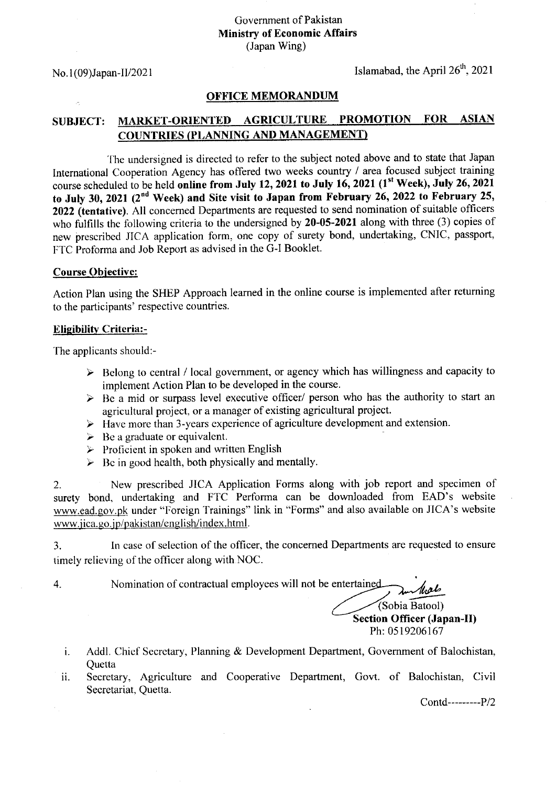No.  $1(09)$ Japan-II/2021 Islamabad, the April  $26<sup>th</sup>$ , 2021

### OFFICE MEMORANDUM

# SUBJECT: MARKET-ORIENTED AGRICULTURE PROMOTION FOR ASIAN COUN'TRIES (PI,ANNING AND MANAGEMENT)

The undersigned is directed to refer to the subject noted above and to state that Japan International Cooperation Agency has offered two weeks country / area focused subject training course scheduled to be held online from July 12, 2021 to July 16, 2021 (1<sup>st</sup> Week), July 26, 2021 to July 30, 2021 ( $2<sup>nd</sup>$  Week) and Site visit to Japan from February 26, 2022 to February 25, 2022 (tentative). All concerned Departments are requested to send nomination of suitable officers who fulfills the following criteria to the undersigned by 20-05-2021 along with three (3) copies of new prescribed JICA application form. one copy of surety bond, undertaking, CNIC, passport, FTC Proforma and Job Report as advised in the G-l Booklet.

### Course Obiective:

Action Plan using the SHEP Approach learned in the online course is implemented after retuming to the participants' respective countries.

#### **Eligibility Criteria:-**

The applicants should:-

- $\triangleright$  Belong to central / local government, or agency which has willingness and capacity to implement Action Plan to be developed in the course.
- $\triangleright$  Be a mid or surpass level executive officer/ person who has the authority to start an agricultural project, or a manager of existing agricultural project.
- $\triangleright$  Have more than 3-years experience of agriculture development and extension.
- $\triangleright$  Be a graduate or equivalent.
- $\triangleright$  Proficient in spoken and written English
- $\triangleright$  Be in good health, both physically and mentally.

2. New prescribed JICA Application Forms along with job report and specimen of surety bond, undertaking and FTC Performa can be downloaded from EAD's website www.ead.gov.pk under "Foreign Trainings" link in "Forms" and also available on JICA's website www.jica.go.jp/pakistan/english/index.html.

3. In case of selection of the officer, the concerned Departments are requested to ensure timely relieving of the oflicer along with NOC.

4

Nomination of contractual employees will not be entertained (Sobia Batool) Section Officer (Japan-II) Ph:0519206167

- Addl. Chief Secretary, Planning & Development Department, Government of Balochistan, i. Ouetta
- Secretary, Agriculture and Cooperative Department, Govt. of Balochistan, Civil ii. Secretariat, Quetta.

Contd-------P/2